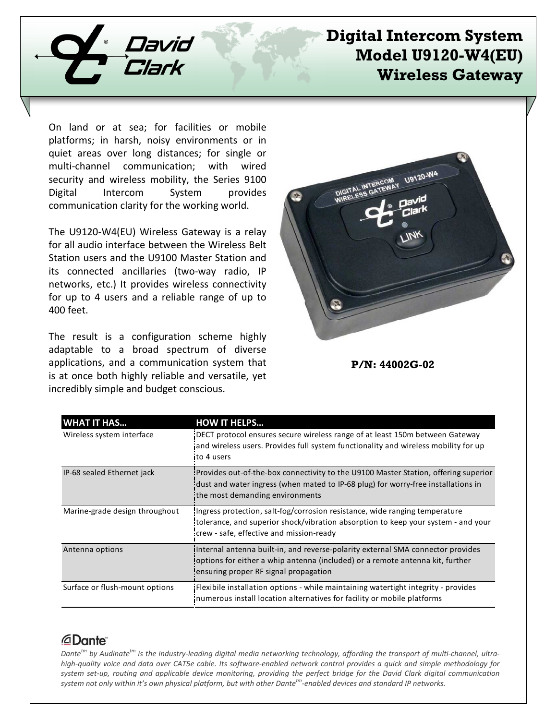

# **Digital Intercom System Model U9120-W4(EU) Wireless Gateway**

On land or at sea; for facilities or mobile platforms; in harsh, noisy environments or in quiet areas over long distances; for single or multi-channel communication; with wired security and wireless mobility, the Series 9100 Digital Intercom System provides communication clarity for the working world.

The U9120-W4(EU) Wireless Gateway is a relay for all audio interface between the Wireless Belt Station users and the U9100 Master Station and its connected ancillaries (two-way radio, IP networks, etc.) It provides wireless connectivity for up to 4 users and a reliable range of up to 400 feet.

The result is a configuration scheme highly adaptable to a broad spectrum of diverse applications, and a communication system that is at once both highly reliable and versatile, yet incredibly simple and budget conscious.



**P/N: 44002G-02**

| <b>WHAT IT HAS</b>             | <b>HOW IT HELPS</b>                                                                                                                                                                                           |
|--------------------------------|---------------------------------------------------------------------------------------------------------------------------------------------------------------------------------------------------------------|
| Wireless system interface      | DECT protocol ensures secure wireless range of at least 150m between Gateway<br>and wireless users. Provides full system functionality and wireless mobility for up<br>to 4 users                             |
| IP-68 sealed Ethernet jack     | : Provides out-of-the-box connectivity to the U9100 Master Station, offering superior<br>dust and water ingress (when mated to IP-68 plug) for worry-free installations in<br>the most demanding environments |
| Marine-grade design throughout | Ingress protection, salt-fog/corrosion resistance, wide ranging temperature<br>tolerance, and superior shock/vibration absorption to keep your system - and your<br>crew - safe, effective and mission-ready  |
| Antenna options                | ilnternal antenna built-in, and reverse-polarity external SMA connector provides<br>loptions for either a whip antenna (included) or a remote antenna kit, further<br>ensuring proper RF signal propagation   |
| Surface or flush-mount options | Flexibile installation options - while maintaining watertight integrity - provides<br>numerous install location alternatives for facility or mobile platforms                                                 |

### *<u>ADante</u>*

*Dantetm by Audinatetm is the industry-leading digital media networking technology, affording the transport of multi-channel, ultrahigh-quality voice and data over CAT5e cable. Its software-enabled network control provides a quick and simple methodology for system set-up, routing and applicable device monitoring, providing the perfect bridge for the David Clark digital communication system not only within it's own physical platform, but with other Dantetm-enabled devices and standard IP networks.*